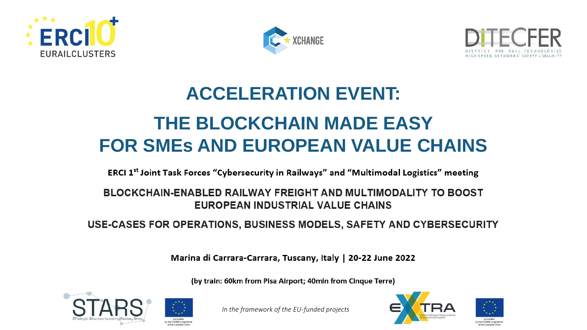





## **ACCELERATION EVENT: THE BLOCKCHAIN MADE EASY FOR SMEs AND EUROPEAN VALUE CHAINS**

ERCI 1st Joint Task Forces "Cybersecurity in Railways" and "Multimodal Logistics" meeting

## BLOCKCHAIN-ENABLED RAILWAY FREIGHT AND MULTIMODALITY TO BOOST **EUROPEAN INDUSTRIAL VALUE CHAINS**

USE-CASES FOR OPERATIONS, BUSINESS MODELS, SAFETY AND CYBERSECURITY

Marina di Carrara-Carrara, Tuscany, Italy | 20-22 June 2022

(by train: 60km from Pisa Airport; 40min from Cinque Terre)



*In the framework of the EU-funded projects*



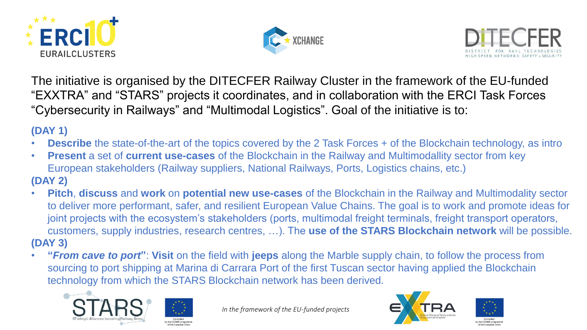





The initiative is organised by the DITECFER Railway Cluster in the framework of the EU-funded "EXXTRA" and "STARS" projects it coordinates, and in collaboration with the ERCI Task Forces "Cybersecurity in Railways" and "Multimodal Logistics". Goal of the initiative is to:

## **(DAY 1)**

- **Describe** the state-of-the-art of the topics covered by the 2 Task Forces + of the Blockchain technology, as intro
- **Present** a set of **current use-cases** of the Blockchain in the Railway and Multimodallity sector from key European stakeholders (Railway suppliers, National Railways, Ports, Logistics chains, etc.) **(DAY 2)**
- **Pitch**, **discuss** and **work** on **potential new use-cases** of the Blockchain in the Railway and Multimodality sector to deliver more performant, safer, and resilient European Value Chains. The goal is to work and promote ideas for joint projects with the ecosystem's stakeholders (ports, multimodal freight terminals, freight transport operators, customers, supply industries, research centres, …). The **use of the STARS Blockchain network** will be possible. **(DAY 3)**
- **"***From cave to port***"**: **Visit** on the field with **jeeps** along the Marble supply chain, to follow the process from sourcing to port shipping at Marina di Carrara Port of the first Tuscan sector having applied the Blockchain technology from which the STARS Blockchain network has been derived.